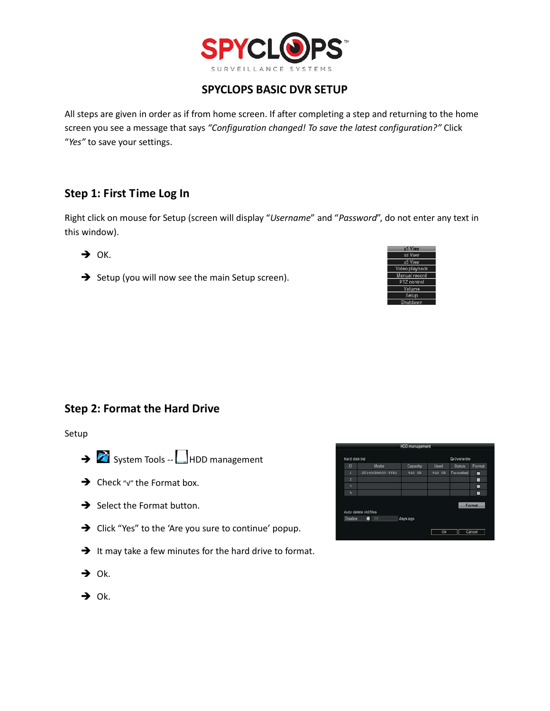

## **SPYCLOPS BASIC DVR SETUP**

All steps are given in order as if from home screen. If after completing a step and returning to the home screen you see a message that says *"Configuration changed! To save the latest configuration?"* Click "*Yes"* to save your settings.

# **Step 1: First Time Log In**

Right click on mouse for Setup (screen will display "*Username*" and "*Password*", do not enter any text in this window).

 $\rightarrow$  OK.

Setup (you will now see the main Setup screen).



C<sub>1</sub>O<sub>3</sub>

For

Ok Cancel

Used

# **Step 2: Format the Hard Drive**

Setup

- System Tools -- HDD management
- → Check "√" the Format box.
- $\rightarrow$  Select the Format button.
- $\rightarrow$  Click "Yes" to the 'Are you sure to continue' popup.
- $\rightarrow$  It may take a few minutes for the hard drive to format.
- uto delete old files  $\bullet$ Disable

Hard disk lis

Model

03-9YN1

\$T100

Capacity

926 GI

days ago

- $\rightarrow$  Ok.
- $\rightarrow$  Ok.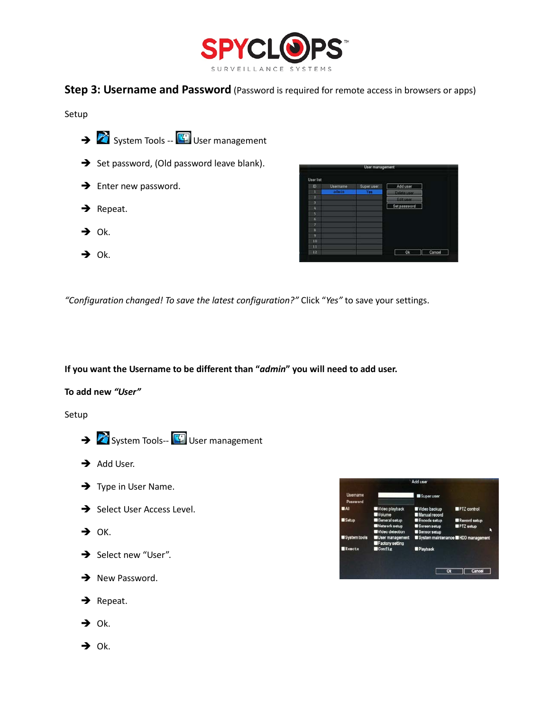

### **Step 3: Username and Password** (Password is required for remote access in browsers or apps)

Setup

System Tools -- **4** User management  $\rightarrow$  Set password, (Old password leave blank).  $\rightarrow$  Enter new password.  $\rightarrow$  Repeat.  $\rightarrow$  Ok.





*"Configuration changed! To save the latest configuration?"* Click "*Yes"* to save your settings.

**If you want the Username to be different than "***admin***" you will need to add user.**

#### **To add new** *"User"*

Setup

- System Tools-- User management
- $\rightarrow$  Add User.
- $\rightarrow$  Type in User Name.
- $\rightarrow$  Select User Access Level.
- $\rightarrow$  OK.
- $\rightarrow$  Select new "User".
- $\rightarrow$  New Password.
- $\rightarrow$  Repeat.
- Ok.
- $\rightarrow$  Ok.

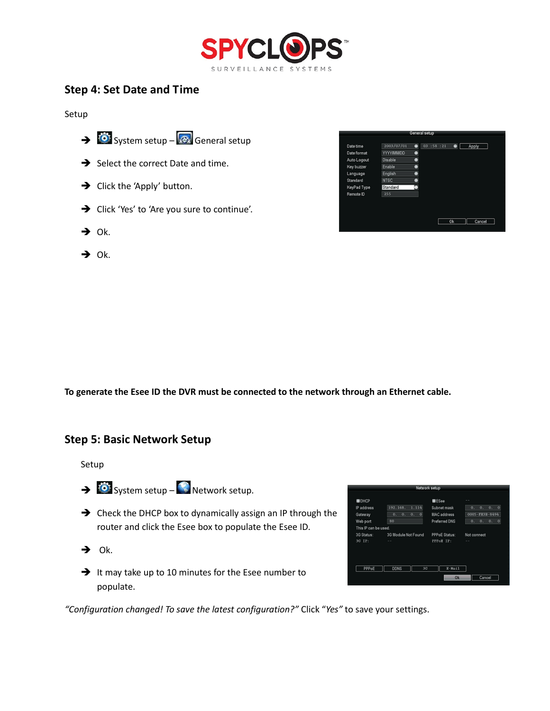

## **Step 4: Set Date and Time**

Setup



- $\rightarrow$  Ok.
- $\rightarrow$  Ok.



**To generate the Esee ID the DVR must be connected to the network through an Ethernet cable.**

#### **Step 5: Basic Network Setup**

Setup

- $\rightarrow$   $\bullet$  System setup  $\bullet$  Network setup.
- → Check the DHCP box to dynamically assign an IP through the router and click the Esee box to populate the Esee ID.
- $\rightarrow$  Ok.
- $\rightarrow$  It may take up to 10 minutes for the Esee number to populate.

|                      | Network setup              |                      |                                                |
|----------------------|----------------------------|----------------------|------------------------------------------------|
| IDHCP                |                            | <b>E</b> ESee        |                                                |
| IP address           | 1.114<br>192.168.          | Subnet mask          | $\overline{0}$<br>$\overline{0}$ .<br>Ω.<br>0. |
| Gateway              | $\bf{0}$<br>0.<br>0.<br>0. | <b>MAC</b> address   | 0005-FE3B-8494                                 |
| Web port             | 80                         | <b>Preferred DNS</b> | $\Omega$<br>0.<br>0.<br>0.                     |
| This IP can be used. |                            |                      |                                                |
| 3G Status:           | 3G Module Not Found        | <b>PPPoE Status:</b> | Not connect                                    |
| 3G IP:               | $\sim$                     | PPPoE IP:            | <b>START</b>                                   |
|                      |                            |                      |                                                |
| PPPoE                | <b>DONS</b><br>3G          | $R-Ma11$             |                                                |
|                      |                            | Ok.                  | Cancel                                         |

*"Configuration changed! To save the latest configuration?"* Click "*Yes"* to save your settings.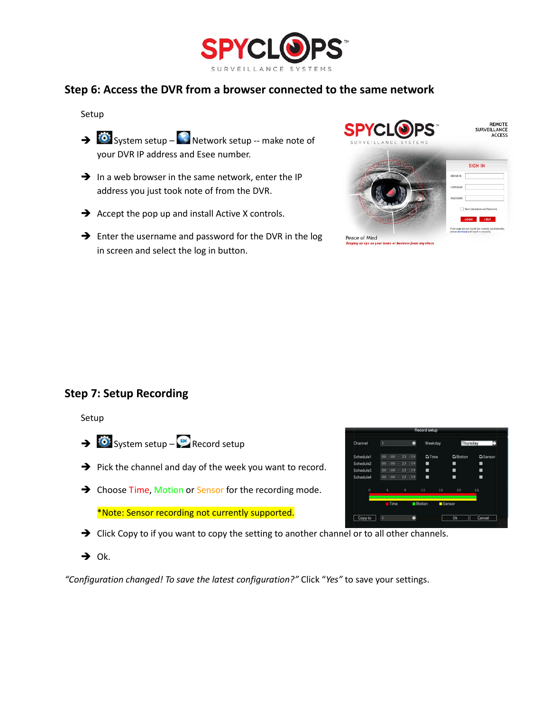

## **Step 6: Access the DVR from a browser connected to the same network**

Setup

- $\rightarrow$   $\bullet$  System setup  $\bullet$  Network setup –- make note of your DVR IP address and Esee number.
- $\rightarrow$  In a web browser in the same network, enter the IP address you just took note of from the DVR.
- $\rightarrow$  Accept the pop up and install Active X controls.
- $\rightarrow$  Enter the username and password for the DVR in the log in screen and select the log in button.



## **Step 7: Setup Recording**

Setup

- $\rightarrow$   $\bullet$  System setup  $\bullet$  Record setup
- $\rightarrow$  Pick the channel and day of the week you want to record.
- → Choose Time, Motion or Sensor for the recording mode.

\*Note: Sensor recording not currently supported.

- $\rightarrow$  Click Copy to if you want to copy the setting to another channel or to all other channels.
- $\rightarrow$  Ok.

*"Configuration changed! To save the latest configuration?"* Click "*Yes"* to save your settings.

| Channel   | ī           | Θ            | Weekday        |        | Thursday       | п               |
|-----------|-------------|--------------|----------------|--------|----------------|-----------------|
| Schedule1 | 00<br>$-00$ | 23 :59<br>ч. | <b>Ei</b> Time |        | <b>GMotion</b> | <b>G</b> Sensor |
| Schedule2 | 00<br>: 00. | :59<br>23    | ■              |        | ٠              |                 |
| Schedule3 | 00<br>: 00  | 23 :59<br>٠  | п              |        | ı              | ٠               |
| Schedule4 | 00<br>: 00  | 23:59        | ■              |        | ■              |                 |
| o         | $I_{\rm I}$ | B            | 12             | 16     | 20             | 24              |
|           | Time        |              | <b>Motion</b>  | Sensor |                |                 |